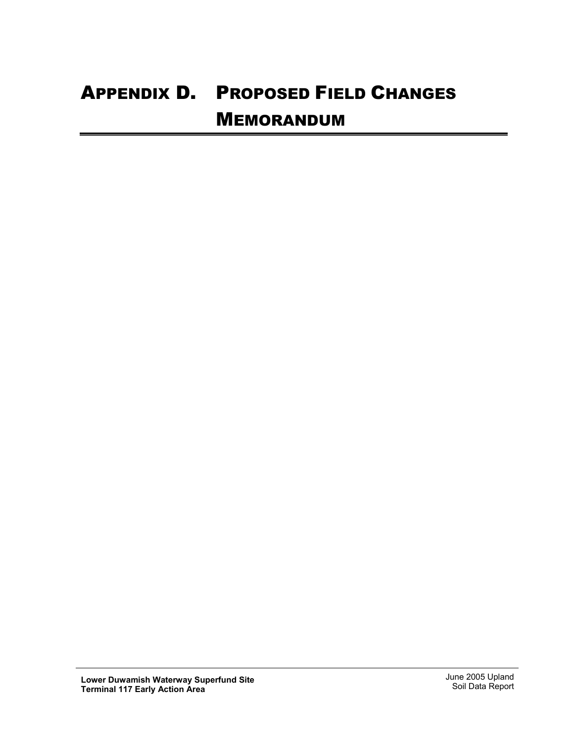## APPENDIX D. PROPOSED FIELD CHANGES MEMORANDUM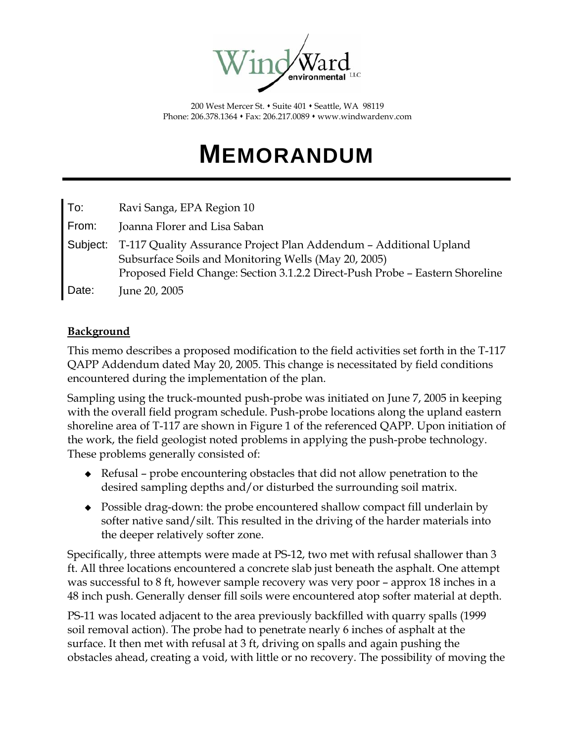

200 West Mercer St. • Suite 401 • Seattle, WA 98119 Phone: 206.378.1364 Fax: 206.217.0089 www.windwardenv.com

# **MEMORANDUM**

| To:      | Ravi Sanga, EPA Region 10                                                                                                                                                                                 |
|----------|-----------------------------------------------------------------------------------------------------------------------------------------------------------------------------------------------------------|
| From:    | Joanna Florer and Lisa Saban                                                                                                                                                                              |
| Subject: | T-117 Quality Assurance Project Plan Addendum - Additional Upland<br>Subsurface Soils and Monitoring Wells (May 20, 2005)<br>Proposed Field Change: Section 3.1.2.2 Direct-Push Probe - Eastern Shoreline |
| Date:    | June 20, 2005                                                                                                                                                                                             |

#### **Background**

This memo describes a proposed modification to the field activities set forth in the T-117 QAPP Addendum dated May 20, 2005. This change is necessitated by field conditions encountered during the implementation of the plan.

Sampling using the truck-mounted push-probe was initiated on June 7, 2005 in keeping with the overall field program schedule. Push-probe locations along the upland eastern shoreline area of T-117 are shown in Figure 1 of the referenced QAPP. Upon initiation of the work, the field geologist noted problems in applying the push-probe technology. These problems generally consisted of:

- Refusal probe encountering obstacles that did not allow penetration to the desired sampling depths and/or disturbed the surrounding soil matrix.
- Possible drag-down: the probe encountered shallow compact fill underlain by softer native sand/silt. This resulted in the driving of the harder materials into the deeper relatively softer zone.

Specifically, three attempts were made at PS-12, two met with refusal shallower than 3 ft. All three locations encountered a concrete slab just beneath the asphalt. One attempt was successful to 8 ft, however sample recovery was very poor – approx 18 inches in a 48 inch push. Generally denser fill soils were encountered atop softer material at depth.

PS-11 was located adjacent to the area previously backfilled with quarry spalls (1999 soil removal action). The probe had to penetrate nearly 6 inches of asphalt at the surface. It then met with refusal at 3 ft, driving on spalls and again pushing the obstacles ahead, creating a void, with little or no recovery. The possibility of moving the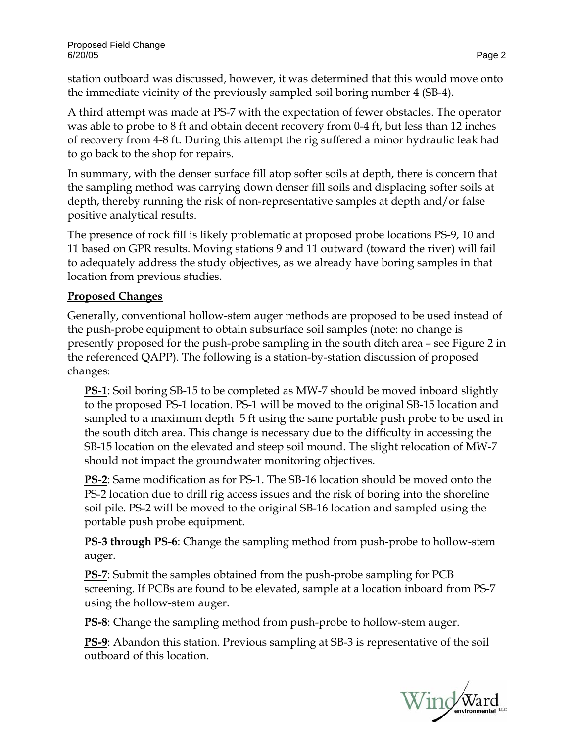station outboard was discussed, however, it was determined that this would move onto the immediate vicinity of the previously sampled soil boring number 4 (SB-4).

A third attempt was made at PS-7 with the expectation of fewer obstacles. The operator was able to probe to 8 ft and obtain decent recovery from 0-4 ft, but less than 12 inches of recovery from 4-8 ft. During this attempt the rig suffered a minor hydraulic leak had to go back to the shop for repairs.

In summary, with the denser surface fill atop softer soils at depth, there is concern that the sampling method was carrying down denser fill soils and displacing softer soils at depth, thereby running the risk of non-representative samples at depth and/or false positive analytical results.

The presence of rock fill is likely problematic at proposed probe locations PS-9, 10 and 11 based on GPR results. Moving stations 9 and 11 outward (toward the river) will fail to adequately address the study objectives, as we already have boring samples in that location from previous studies.

### **Proposed Changes**

Generally, conventional hollow-stem auger methods are proposed to be used instead of the push-probe equipment to obtain subsurface soil samples (note: no change is presently proposed for the push-probe sampling in the south ditch area – see Figure 2 in the referenced QAPP). The following is a station-by-station discussion of proposed changes:

**PS-1**: Soil boring SB-15 to be completed as MW-7 should be moved inboard slightly to the proposed PS-1 location. PS-1 will be moved to the original SB-15 location and sampled to a maximum depth 5 ft using the same portable push probe to be used in the south ditch area. This change is necessary due to the difficulty in accessing the SB-15 location on the elevated and steep soil mound. The slight relocation of MW-7 should not impact the groundwater monitoring objectives.

**PS-2**: Same modification as for PS-1. The SB-16 location should be moved onto the PS-2 location due to drill rig access issues and the risk of boring into the shoreline soil pile. PS-2 will be moved to the original SB-16 location and sampled using the portable push probe equipment.

**PS-3 through PS-6**: Change the sampling method from push-probe to hollow-stem auger.

**PS-7**: Submit the samples obtained from the push-probe sampling for PCB screening. If PCBs are found to be elevated, sample at a location inboard from PS-7 using the hollow-stem auger.

**PS-8**: Change the sampling method from push-probe to hollow-stem auger.

**PS-9**: Abandon this station. Previous sampling at SB-3 is representative of the soil outboard of this location.